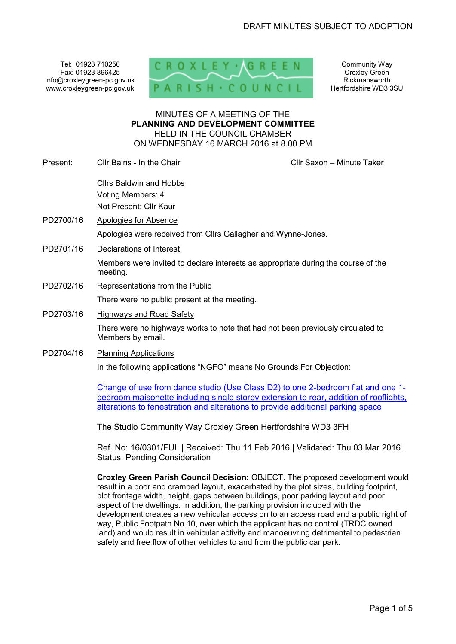Tel: 01923 710250 Fax: 01923 896425 info@croxleygreen-pc.gov.uk www.croxleygreen-pc.gov.uk



Community Way Croxley Green Rickmansworth Hertfordshire WD3 3SU

#### MINUTES OF A MEETING OF THE **PLANNING AND DEVELOPMENT COMMITTEE** HELD IN THE COUNCIL CHAMBER ON WEDNESDAY 16 MARCH 2016 at 8.00 PM

- Present: Cllr Bains In the Chair Click Cliffer Cllr Saxon Minute Taker Cllrs Baldwin and Hobbs Voting Members: 4 Not Present: Cllr Kaur PD2700/16 Apologies for Absence Apologies were received from Cllrs Gallagher and Wynne-Jones. PD2701/16 Declarations of Interest Members were invited to declare interests as appropriate during the course of the meeting. PD2702/16 Representations from the Public There were no public present at the meeting. PD2703/16 Highways and Road Safety There were no highways works to note that had not been previously circulated to Members by email.
- PD2704/16 Planning Applications

In the following applications "NGFO" means No Grounds For Objection:

Change of use from dance studio (Use Class D2) to one 2-bedroom flat and one 1 bedroom maisonette including single storey extension to rear, addition of rooflights, alterations to fenestration and alterations to provide additional parking space

The Studio Community Way Croxley Green Hertfordshire WD3 3FH

Ref. No: 16/0301/FUL | Received: Thu 11 Feb 2016 | Validated: Thu 03 Mar 2016 | Status: Pending Consideration

**Croxley Green Parish Council Decision:** OBJECT. The proposed development would result in a poor and cramped layout, exacerbated by the plot sizes, building footprint, plot frontage width, height, gaps between buildings, poor parking layout and poor aspect of the dwellings. In addition, the parking provision included with the development creates a new vehicular access on to an access road and a public right of way, Public Footpath No.10, over which the applicant has no control (TRDC owned land) and would result in vehicular activity and manoeuvring detrimental to pedestrian safety and free flow of other vehicles to and from the public car park.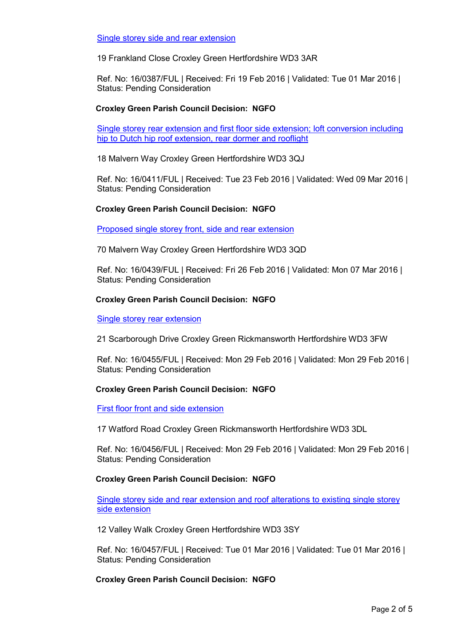Single storey side and rear extension

19 Frankland Close Croxley Green Hertfordshire WD3 3AR

Ref. No: 16/0387/FUL | Received: Fri 19 Feb 2016 | Validated: Tue 01 Mar 2016 | Status: Pending Consideration

## **Croxley Green Parish Council Decision: NGFO**

Single storey rear extension and first floor side extension; loft conversion including hip to Dutch hip roof extension, rear dormer and rooflight

18 Malvern Way Croxley Green Hertfordshire WD3 3QJ

Ref. No: 16/0411/FUL | Received: Tue 23 Feb 2016 | Validated: Wed 09 Mar 2016 | Status: Pending Consideration

## **Croxley Green Parish Council Decision: NGFO**

Proposed single storey front, side and rear extension

70 Malvern Way Croxley Green Hertfordshire WD3 3QD

Ref. No: 16/0439/FUL | Received: Fri 26 Feb 2016 | Validated: Mon 07 Mar 2016 | Status: Pending Consideration

#### **Croxley Green Parish Council Decision: NGFO**

Single storey rear extension

21 Scarborough Drive Croxley Green Rickmansworth Hertfordshire WD3 3FW

Ref. No: 16/0455/FUL | Received: Mon 29 Feb 2016 | Validated: Mon 29 Feb 2016 | Status: Pending Consideration

#### **Croxley Green Parish Council Decision: NGFO**

First floor front and side extension

17 Watford Road Croxley Green Rickmansworth Hertfordshire WD3 3DL

Ref. No: 16/0456/FUL | Received: Mon 29 Feb 2016 | Validated: Mon 29 Feb 2016 | Status: Pending Consideration

#### **Croxley Green Parish Council Decision: NGFO**

Single storey side and rear extension and roof alterations to existing single storey side extension

12 Valley Walk Croxley Green Hertfordshire WD3 3SY

Ref. No: 16/0457/FUL | Received: Tue 01 Mar 2016 | Validated: Tue 01 Mar 2016 | Status: Pending Consideration

#### **Croxley Green Parish Council Decision: NGFO**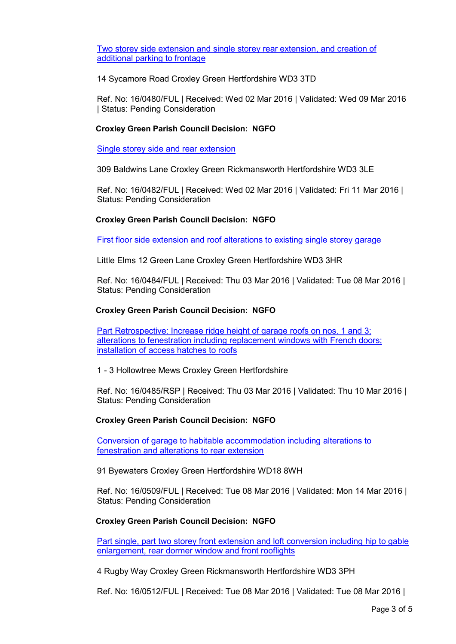Two storey side extension and single storey rear extension, and creation of additional parking to frontage

14 Sycamore Road Croxley Green Hertfordshire WD3 3TD

Ref. No: 16/0480/FUL | Received: Wed 02 Mar 2016 | Validated: Wed 09 Mar 2016 | Status: Pending Consideration

## **Croxley Green Parish Council Decision: NGFO**

Single storey side and rear extension

309 Baldwins Lane Croxley Green Rickmansworth Hertfordshire WD3 3LE

Ref. No: 16/0482/FUL | Received: Wed 02 Mar 2016 | Validated: Fri 11 Mar 2016 | Status: Pending Consideration

## **Croxley Green Parish Council Decision: NGFO**

First floor side extension and roof alterations to existing single storey garage

Little Elms 12 Green Lane Croxley Green Hertfordshire WD3 3HR

Ref. No: 16/0484/FUL | Received: Thu 03 Mar 2016 | Validated: Tue 08 Mar 2016 | Status: Pending Consideration

#### **Croxley Green Parish Council Decision: NGFO**

Part Retrospective: Increase ridge height of garage roofs on nos. 1 and 3; alterations to fenestration including replacement windows with French doors; installation of access hatches to roofs

1 - 3 Hollowtree Mews Croxley Green Hertfordshire

Ref. No: 16/0485/RSP | Received: Thu 03 Mar 2016 | Validated: Thu 10 Mar 2016 | Status: Pending Consideration

#### **Croxley Green Parish Council Decision: NGFO**

Conversion of garage to habitable accommodation including alterations to fenestration and alterations to rear extension

91 Byewaters Croxley Green Hertfordshire WD18 8WH

Ref. No: 16/0509/FUL | Received: Tue 08 Mar 2016 | Validated: Mon 14 Mar 2016 | Status: Pending Consideration

#### **Croxley Green Parish Council Decision: NGFO**

Part single, part two storey front extension and loft conversion including hip to gable enlargement, rear dormer window and front rooflights

4 Rugby Way Croxley Green Rickmansworth Hertfordshire WD3 3PH

Ref. No: 16/0512/FUL | Received: Tue 08 Mar 2016 | Validated: Tue 08 Mar 2016 |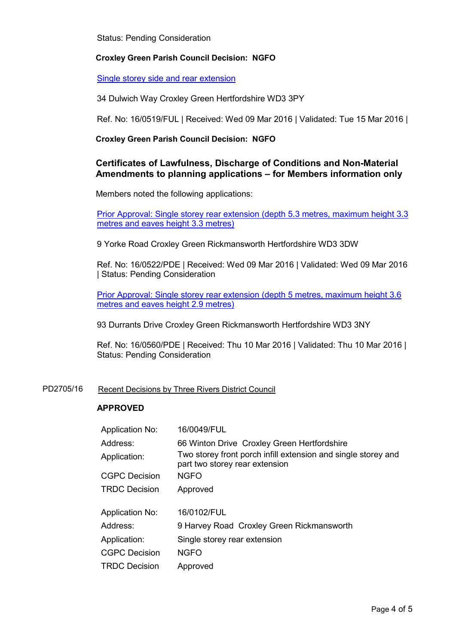Status: Pending Consideration

## **Croxley Green Parish Council Decision: NGFO**

Single storey side and rear extension

34 Dulwich Way Croxley Green Hertfordshire WD3 3PY

Ref. No: 16/0519/FUL | Received: Wed 09 Mar 2016 | Validated: Tue 15 Mar 2016 |

## **Croxley Green Parish Council Decision: NGFO**

# **Certificates of Lawfulness, Discharge of Conditions and Non-Material Amendments to planning applications – for Members information only**

Members noted the following applications:

Prior Approval: Single storey rear extension (depth 5.3 metres, maximum height 3.3 metres and eaves height 3.3 metres)

9 Yorke Road Croxley Green Rickmansworth Hertfordshire WD3 3DW

Ref. No: 16/0522/PDE | Received: Wed 09 Mar 2016 | Validated: Wed 09 Mar 2016 | Status: Pending Consideration

Prior Approval: Single storey rear extension (depth 5 metres, maximum height 3.6 metres and eaves height 2.9 metres)

93 Durrants Drive Croxley Green Rickmansworth Hertfordshire WD3 3NY

Ref. No: 16/0560/PDE | Received: Thu 10 Mar 2016 | Validated: Thu 10 Mar 2016 | Status: Pending Consideration

## PD2705/16 Recent Decisions by Three Rivers District Council

#### **APPROVED**

| <b>Application No:</b> | 16/0049/FUL                                                                                     |
|------------------------|-------------------------------------------------------------------------------------------------|
| Address:               | 66 Winton Drive Croxley Green Hertfordshire                                                     |
| Application:           | Two storey front porch infill extension and single storey and<br>part two storey rear extension |
| <b>CGPC Decision</b>   | <b>NGFO</b>                                                                                     |
| <b>TRDC Decision</b>   | Approved                                                                                        |
| <b>Application No:</b> | 16/0102/FUL                                                                                     |
| Address:               | 9 Harvey Road Croxley Green Rickmansworth                                                       |
| Application:           | Single storey rear extension                                                                    |
| <b>CGPC Decision</b>   | <b>NGFO</b>                                                                                     |
| <b>TRDC Decision</b>   | Approved                                                                                        |